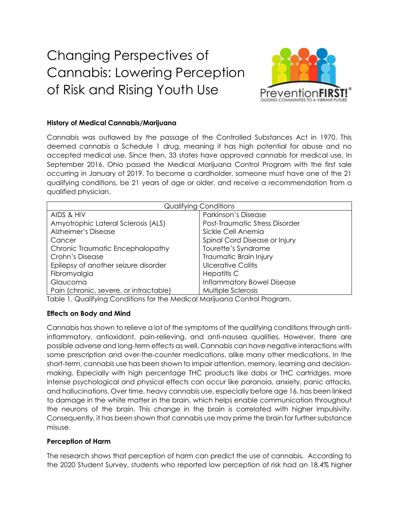# Changing Perspectives of Cannabis: Lowering Perception of Risk and Rising Youth Use



### **History of Medical Cannabis/Marijuana**

Cannabis was outlawed by the passage of the Controlled Substances Act in 1970. This deemed cannabis a Schedule 1 drug, meaning it has high potential for abuse and no accepted medical use. Since then, 33 states have approved cannabis for medical use. In September 2016, Ohio passed the Medical Marijuana Control Program with the first sale occurring in January of 2019. To become a cardholder, someone must have one of the 21 qualifying conditions, be 21 years of age or older, and receive a recommendation from a qualified physician.

| <b>Qualifying Conditions</b>           |                                   |
|----------------------------------------|-----------------------------------|
| AIDS & HIV                             | Parkinson's Disease               |
| Amyotrophic Lateral Sclerosis (ALS)    | Post-Traumatic Stress Disorder    |
| Alzheimer's Disease                    | Sickle Cell Anemia                |
| Cancer                                 | Spinal Cord Disease or Injury     |
| Chronic Traumatic Encephalopathy       | Tourette's Syndrome               |
| Crohn's Disease                        | Traumatic Brain Injury            |
| Epilepsy of another seizure disorder   | Ulcerative Colitis                |
| Fibromyalgia                           | Hepatitis C                       |
| Glaucoma                               | <b>Inflammatory Bowel Disease</b> |
| Pain (chronic, severe, or intractable) | <b>Multiple Sclerosis</b>         |

Table 1. Qualifying Conditions for the Medical Marijuana Control Program.

#### **Effects on Body and Mind**

Cannabis has shown to relieve a lot of the symptoms of the qualifying conditions through antiinflammatory, antioxidant, pain-relieving, and anti-nausea qualities. However, there are possible adverse and long-term effects as well. Cannabis can have negative interactions with some prescription and over-the-counter medications, alike many other medications. In the short-term, cannabis use has been shown to impair attention, memory, learning and decisionmaking. Especially with high percentage THC products like dabs or THC cartridges, more intense psychological and physical effects can occur like paranoia, anxiety, panic attacks, and hallucinations. Over time, heavy cannabis use, especially before age 16, has been linked to damage in the white matter in the brain, which helps enable communication throughout the neurons of the brain. This change in the brain is correlated with higher impulsivity. Consequently, it has been shown that cannabis use may prime the brain for further substance misuse.

#### **Perception of Harm**

The research shows that perception of harm can predict the use of cannabis. According to the 2020 Student Survey, students who reported low perception of risk had an 18.4% higher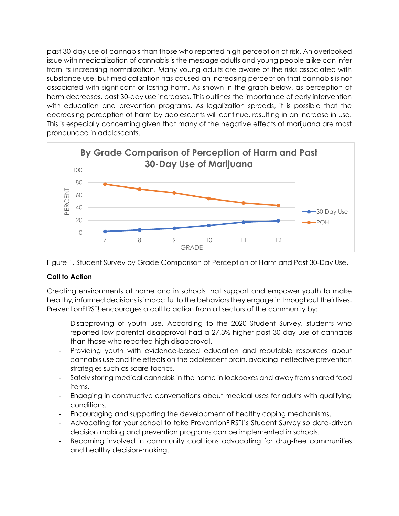past 30-day use of cannabis than those who reported high perception of risk. An overlooked issue with medicalization of cannabis is the message adults and young people alike can infer from its increasing normalization. Many young adults are aware of the risks associated with substance use, but medicalization has caused an increasing perception that cannabis is not associated with significant or lasting harm. As shown in the graph below, as perception of harm decreases, past 30-day use increases. This outlines the importance of early intervention with education and prevention programs. As legalization spreads, it is possible that the decreasing perception of harm by adolescents will continue, resulting in an increase in use. This is especially concerning given that many of the negative effects of marijuana are most pronounced in adolescents.





## **Call to Action**

Creating environments at home and in schools that support and empower youth to make healthy, informed decisions is impactful to the behaviors they engage in throughout their lives**.**  PreventionFIRST! encourages a call to action from all sectors of the community by:

- Disapproving of youth use. According to the 2020 Student Survey, students who reported low parental disapproval had a 27.3% higher past 30-day use of cannabis than those who reported high disapproval.
- Providing youth with evidence-based education and reputable resources about cannabis use and the effects on the adolescent brain, avoiding ineffective prevention strategies such as scare tactics.
- Safely storing medical cannabis in the home in lockboxes and away from shared food items.
- Engaging in constructive conversations about medical uses for adults with qualifying conditions.
- Encouraging and supporting the development of healthy coping mechanisms.
- Advocating for your school to take PreventionFIRST!'s Student Survey so data-driven decision making and prevention programs can be implemented in schools.
- Becoming involved in community coalitions advocating for drug-free communities and healthy decision-making.